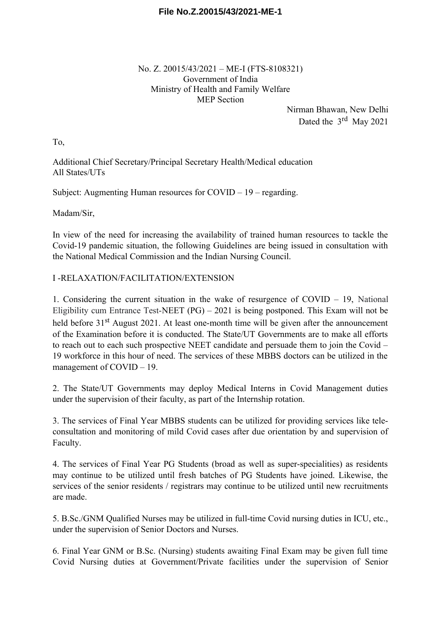### **File No.Z.20015/43/2021-ME-1**

No. Z. 20015/43/2021 – ME-I (FTS-8108321) Government of India Ministry of Health and Family Welfare MEP Section

> Nirman Bhawan, New Delhi Dated the 3<sup>rd</sup> May 2021

To,

Additional Chief Secretary/Principal Secretary Health/Medical education All States/UTs

Subject: Augmenting Human resources for COVID – 19 – regarding.

Madam/Sir,

In view of the need for increasing the availability of trained human resources to tackle the Covid-19 pandemic situation, the following Guidelines are being issued in consultation with the National Medical Commission and the Indian Nursing Council.

#### I -RELAXATION/FACILITATION/EXTENSION

1. Considering the current situation in the wake of resurgence of COVID – 19, National Eligibility cum Entrance Test-NEET  $(PG) - 2021$  is being postponed. This Exam will not be held before 31<sup>st</sup> August 2021. At least one-month time will be given after the announcement of the Examination before it is conducted. The State/UT Governments are to make all efforts to reach out to each such prospective NEET candidate and persuade them to join the Covid – 19 workforce in this hour of need. The services of these MBBS doctors can be utilized in the management of COVID – 19.

2. The State/UT Governments may deploy Medical Interns in Covid Management duties under the supervision of their faculty, as part of the Internship rotation.

3. The services of Final Year MBBS students can be utilized for providing services like teleconsultation and monitoring of mild Covid cases after due orientation by and supervision of Faculty.

4. The services of Final Year PG Students (broad as well as super-specialities) as residents may continue to be utilized until fresh batches of PG Students have joined. Likewise, the services of the senior residents / registrars may continue to be utilized until new recruitments are made.

5. B.Sc./GNM Qualified Nurses may be utilized in full-time Covid nursing duties in ICU, etc., under the supervision of Senior Doctors and Nurses.

6. Final Year GNM or B.Sc. (Nursing) students awaiting Final Exam may be given full time Covid Nursing duties at Government/Private facilities under the supervision of Senior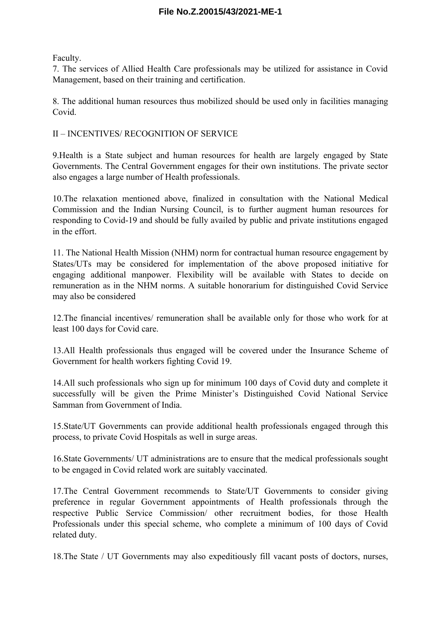## **File No.Z.20015/43/2021-ME-1**

Faculty.

7. The services of Allied Health Care professionals may be utilized for assistance in Covid Management, based on their training and certification.

8. The additional human resources thus mobilized should be used only in facilities managing Covid.

#### II – INCENTIVES/ RECOGNITION OF SERVICE

9.Health is a State subject and human resources for health are largely engaged by State Governments. The Central Government engages for their own institutions. The private sector also engages a large number of Health professionals.

10.The relaxation mentioned above, finalized in consultation with the National Medical Commission and the Indian Nursing Council, is to further augment human resources for responding to Covid-19 and should be fully availed by public and private institutions engaged in the effort.

11. The National Health Mission (NHM) norm for contractual human resource engagement by States/UTs may be considered for implementation of the above proposed initiative for engaging additional manpower. Flexibility will be available with States to decide on remuneration as in the NHM norms. A suitable honorarium for distinguished Covid Service may also be considered

12.The financial incentives/ remuneration shall be available only for those who work for at least 100 days for Covid care.

13.All Health professionals thus engaged will be covered under the Insurance Scheme of Government for health workers fighting Covid 19.

14.All such professionals who sign up for minimum 100 days of Covid duty and complete it successfully will be given the Prime Minister's Distinguished Covid National Service Samman from Government of India.

15.State/UT Governments can provide additional health professionals engaged through this process, to private Covid Hospitals as well in surge areas.

16.State Governments/ UT administrations are to ensure that the medical professionals sought to be engaged in Covid related work are suitably vaccinated.

17.The Central Government recommends to State/UT Governments to consider giving preference in regular Government appointments of Health professionals through the respective Public Service Commission/ other recruitment bodies, for those Health Professionals under this special scheme, who complete a minimum of 100 days of Covid related duty.

18.The State / UT Governments may also expeditiously fill vacant posts of doctors, nurses,